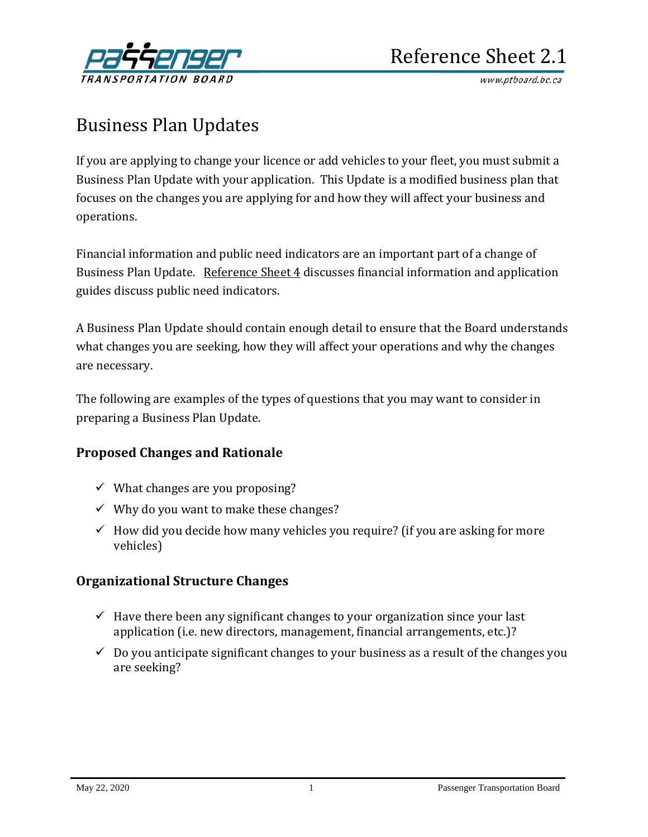

www.ptboard.bc.ca

# Business Plan Updates

If you are applying to change your licence or add vehicles to your fleet, you must submit a Business Plan Update with your application. This Update is a modified business plan that focuses on the changes you are applying for and how they will affect your business and operations.

Financial information and public need indicators are an important part of a change of Business Plan Update. [Reference Sheet 4](http://www.th.gov.bc.ca/forms/getForm.aspx?formId=1194) discusses financial information and application guides discuss public need indicators.

A Business Plan Update should contain enough detail to ensure that the Board understands what changes you are seeking, how they will affect your operations and why the changes are necessary.

The following are examples of the types of questions that you may want to consider in preparing a Business Plan Update.

# **Proposed Changes and Rationale**

- $\checkmark$  What changes are you proposing?
- $\checkmark$  Why do you want to make these changes?
- $\checkmark$  How did you decide how many vehicles you require? (if you are asking for more vehicles)

# **Organizational Structure Changes**

- $\checkmark$  Have there been any significant changes to your organization since your last application (i.e. new directors, management, financial arrangements, etc.)?
- $\checkmark$  Do you anticipate significant changes to your business as a result of the changes you are seeking?